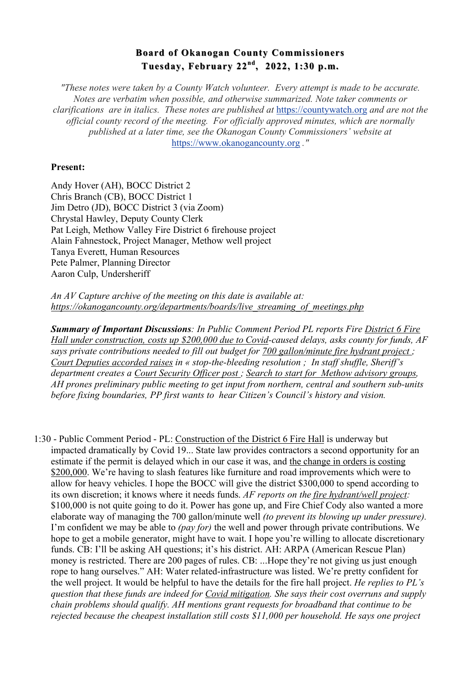## **Board of Okanogan County Commissioners Board of Okanogan County Commissioners Tuesday, February 22 Tuesday, February 22nd, 2022, 1:30 p.m. , 2022, 1:30 p.m.**

*"These notes were taken by a County Watch volunteer. Every attempt is made to be accurate. Notes are verbatim when possible, and otherwise summarized. Note taker comments or clarifications are in italics. These notes are published at* https://countywatch.org *and are not the official county record of the meeting. For officially approved minutes, which are normally published at a later time, see the Okanogan County Commissioners' website at*  https://www.okanogancounty.org *."*

## **Present:**

Andy Hover (AH), BOCC District 2 Chris Branch (CB), BOCC District 1 Jim Detro (JD), BOCC District 3 (via Zoom) Chrystal Hawley, Deputy County Clerk Pat Leigh, Methow Valley Fire District 6 firehouse project Alain Fahnestock, Project Manager, Methow well project Tanya Everett, Human Resources Pete Palmer, Planning Director Aaron Culp, Undersheriff

*An AV Capture archive of the meeting on this date is available at: https://okanogancounty.org/departments/boards/live\_streaming\_of\_meetings.php*

*Summary of Important Discussions: In Public Comment Period PL reports Fire District 6 Fire Hall under construction, costs up \$200,000 due to Covid-caused delays, asks county for funds, AF says private contributions needed to fill out budget for 700 gallon/minute fire hydrant project ; Court Deputies accorded raises in « stop-the-bleeding resolution ; In staff shuffle, Sheriff's department creates a Court Security Officer post ; Search to start for Methow advisory groups, AH prones preliminary public meeting to get input from northern, central and southern sub-units before fixing boundaries, PP first wants to hear Citizen's Council's history and vision.*

1:30 - Public Comment Period - PL: Construction of the District 6 Fire Hall is underway but impacted dramatically by Covid 19... State law provides contractors a second opportunity for an estimate if the permit is delayed which in our case it was, and the change in orders is costing \$200,000. We're having to slash features like furniture and road improvements which were to allow for heavy vehicles. I hope the BOCC will give the district \$300,000 to spend according to its own discretion; it knows where it needs funds. *AF reports on the fire hydrant/well project:*  \$100,000 is not quite going to do it. Power has gone up, and Fire Chief Cody also wanted a more elaborate way of managing the 700 gallon/minute well *(to prevent its blowing up under pressure).* I'm confident we may be able to *(pay for)* the well and power through private contributions. We hope to get a mobile generator, might have to wait. I hope you're willing to allocate discretionary funds. CB: I'll be asking AH questions; it's his district. AH: ARPA (American Rescue Plan) money is restricted. There are 200 pages of rules. CB: ...Hope they're not giving us just enough rope to hang ourselves." AH: Water related-infrastructure was listed. We're pretty confident for the well project. It would be helpful to have the details for the fire hall project. *He replies to PL's question that these funds are indeed for Covid mitigation. She says their cost overruns and supply chain problems should qualify. AH mentions grant requests for broadband that continue to be rejected because the cheapest installation still costs \$11,000 per household. He says one project*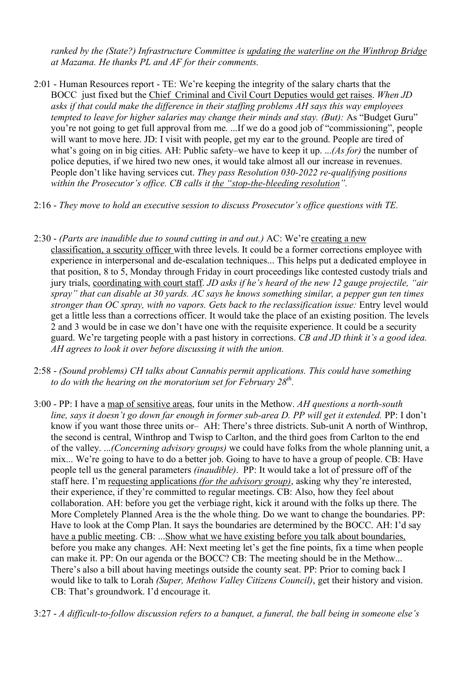*ranked by the (State?) Infrastructure Committee is updating the waterline on the Winthrop Bridge at Mazama. He thanks PL and AF for their comments.*

- 2:01 Human Resources report TE: We're keeping the integrity of the salary charts that the BOCC just fixed but the Chief Criminal and Civil Court Deputies would get raises. *When JD asks if that could make the difference in their staffing problems AH says this way employees tempted to leave for higher salaries may change their minds and stay. (But): As "Budget Guru"* you're not going to get full approval from me. ...If we do a good job of "commissioning", people will want to move here. JD: I visit with people, get my ear to the ground. People are tired of what's going on in big cities. AH: Public safety–we have to keep it up. ...*(As for)* the number of police deputies, if we hired two new ones, it would take almost all our increase in revenues. People don't like having services cut. *They pass Resolution 030-2022 re-qualifying positions within the Prosecutor's office. CB calls it the "stop-the-bleeding resolution".*
- 2:16 *They move to hold an executive session to discuss Prosecutor's office questions with TE.*
- 2:30 *(Parts are inaudible due to sound cutting in and out.)* AC: We're creating a new classification, a security officer with three levels. It could be a former corrections employee with experience in interpersonal and de-escalation techniques... This helps put a dedicated employee in that position, 8 to 5, Monday through Friday in court proceedings like contested custody trials and jury trials, coordinating with court staff. *JD asks if he's heard of the new 12 gauge projectile, "air spray" that can disable at 30 yards. AC says he knows something similar, a pepper gun ten times stronger than OC spray, with no vapors. Gets back to the reclassification issue:* Entry level would get a little less than a corrections officer. It would take the place of an existing position. The levels 2 and 3 would be in case we don't have one with the requisite experience. It could be a security guard. We're targeting people with a past history in corrections. *CB and JD think it's a good idea. AH agrees to look it over before discussing it with the union.*
- 2:58 *(Sound problems) CH talks about Cannabis permit applications. This could have something to do with the hearing on the moratorium set for February 28th.*
- 3:00 PP: I have a map of sensitive areas, four units in the Methow. *AH questions a north-south line, says it doesn't go down far enough in former sub-area D. PP will get it extended.* PP: I don't know if you want those three units or– AH: There's three districts. Sub-unit A north of Winthrop, the second is central, Winthrop and Twisp to Carlton, and the third goes from Carlton to the end of the valley. ...*(Concerning advisory groups)* we could have folks from the whole planning unit, a mix... We're going to have to do a better job. Going to have to have a group of people. CB: Have people tell us the general parameters *(inaudible)*. PP: It would take a lot of pressure off of the staff here. I'm requesting applications *(for the advisory group)*, asking why they're interested, their experience, if they're committed to regular meetings. CB: Also, how they feel about collaboration. AH: before you get the verbiage right, kick it around with the folks up there. The More Completely Planned Area is the the whole thing. Do we want to change the boundaries. PP: Have to look at the Comp Plan. It says the boundaries are determined by the BOCC. AH: I'd say have a public meeting. CB: ...Show what we have existing before you talk about boundaries, before you make any changes. AH: Next meeting let's get the fine points, fix a time when people can make it. PP: On our agenda or the BOCC? CB: The meeting should be in the Methow... There's also a bill about having meetings outside the county seat. PP: Prior to coming back I would like to talk to Lorah *(Super, Methow Valley Citizens Council)*, get their history and vision. CB: That's groundwork. I'd encourage it.
- 3:27 *A difficult-to-follow discussion refers to a banquet, a funeral, the ball being in someone else's*